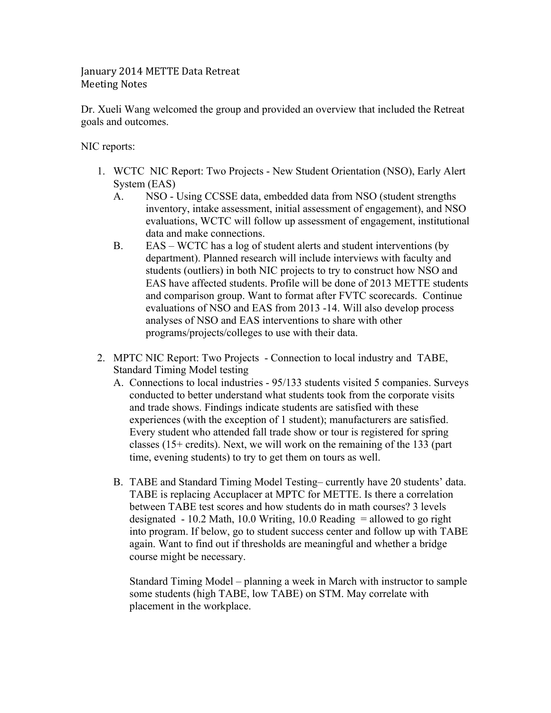## January 2014 METTE Data Retreat **Meeting Notes**

Dr. Xueli Wang welcomed the group and provided an overview that included the Retreat goals and outcomes.

NIC reports:

- 1. WCTC NIC Report: Two Projects New Student Orientation (NSO), Early Alert System (EAS)
	- A. NSO Using CCSSE data, embedded data from NSO (student strengths inventory, intake assessment, initial assessment of engagement), and NSO evaluations, WCTC will follow up assessment of engagement, institutional data and make connections.
	- B. EAS WCTC has a log of student alerts and student interventions (by department). Planned research will include interviews with faculty and students (outliers) in both NIC projects to try to construct how NSO and EAS have affected students. Profile will be done of 2013 METTE students and comparison group. Want to format after FVTC scorecards. Continue evaluations of NSO and EAS from 2013 -14. Will also develop process analyses of NSO and EAS interventions to share with other programs/projects/colleges to use with their data.
- 2. MPTC NIC Report: Two Projects Connection to local industry and TABE, Standard Timing Model testing
	- A. Connections to local industries 95/133 students visited 5 companies. Surveys conducted to better understand what students took from the corporate visits and trade shows. Findings indicate students are satisfied with these experiences (with the exception of 1 student); manufacturers are satisfied. Every student who attended fall trade show or tour is registered for spring classes (15+ credits). Next, we will work on the remaining of the 133 (part time, evening students) to try to get them on tours as well.
	- B. TABE and Standard Timing Model Testing– currently have 20 students' data. TABE is replacing Accuplacer at MPTC for METTE. Is there a correlation between TABE test scores and how students do in math courses? 3 levels designated  $-10.2$  Math, 10.0 Writing, 10.0 Reading  $=$  allowed to go right into program. If below, go to student success center and follow up with TABE again. Want to find out if thresholds are meaningful and whether a bridge course might be necessary.

Standard Timing Model – planning a week in March with instructor to sample some students (high TABE, low TABE) on STM. May correlate with placement in the workplace.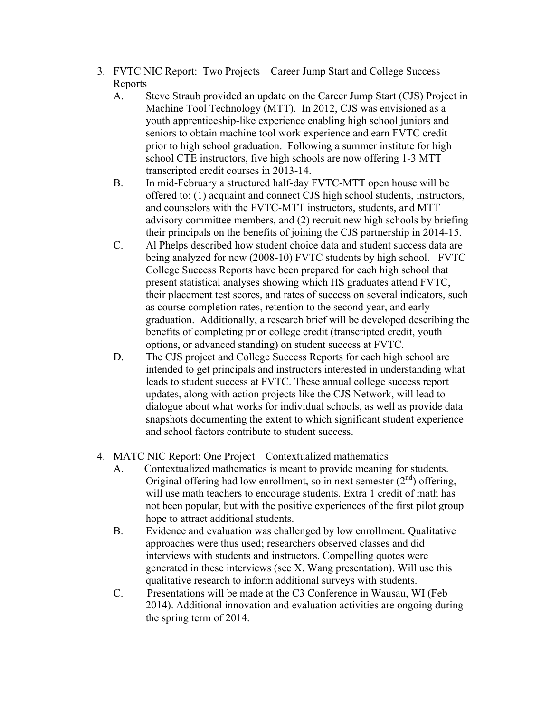- 3. FVTC NIC Report: Two Projects Career Jump Start and College Success Reports
	- A. Steve Straub provided an update on the Career Jump Start (CJS) Project in Machine Tool Technology (MTT). In 2012, CJS was envisioned as a youth apprenticeship-like experience enabling high school juniors and seniors to obtain machine tool work experience and earn FVTC credit prior to high school graduation. Following a summer institute for high school CTE instructors, five high schools are now offering 1-3 MTT transcripted credit courses in 2013-14.
	- B. In mid-February a structured half-day FVTC-MTT open house will be offered to: (1) acquaint and connect CJS high school students, instructors, and counselors with the FVTC-MTT instructors, students, and MTT advisory committee members, and (2) recruit new high schools by briefing their principals on the benefits of joining the CJS partnership in 2014-15.
	- C. Al Phelps described how student choice data and student success data are being analyzed for new (2008-10) FVTC students by high school. FVTC College Success Reports have been prepared for each high school that present statistical analyses showing which HS graduates attend FVTC, their placement test scores, and rates of success on several indicators, such as course completion rates, retention to the second year, and early graduation. Additionally, a research brief will be developed describing the benefits of completing prior college credit (transcripted credit, youth options, or advanced standing) on student success at FVTC.
	- D. The CJS project and College Success Reports for each high school are intended to get principals and instructors interested in understanding what leads to student success at FVTC. These annual college success report updates, along with action projects like the CJS Network, will lead to dialogue about what works for individual schools, as well as provide data snapshots documenting the extent to which significant student experience and school factors contribute to student success.
- 4. MATC NIC Report: One Project Contextualized mathematics
	- A. Contextualized mathematics is meant to provide meaning for students. Original offering had low enrollment, so in next semester  $(2<sup>nd</sup>)$  offering, will use math teachers to encourage students. Extra 1 credit of math has not been popular, but with the positive experiences of the first pilot group hope to attract additional students.
	- B. Evidence and evaluation was challenged by low enrollment. Qualitative approaches were thus used; researchers observed classes and did interviews with students and instructors. Compelling quotes were generated in these interviews (see X. Wang presentation). Will use this qualitative research to inform additional surveys with students.
	- C. Presentations will be made at the C3 Conference in Wausau, WI (Feb 2014). Additional innovation and evaluation activities are ongoing during the spring term of 2014.